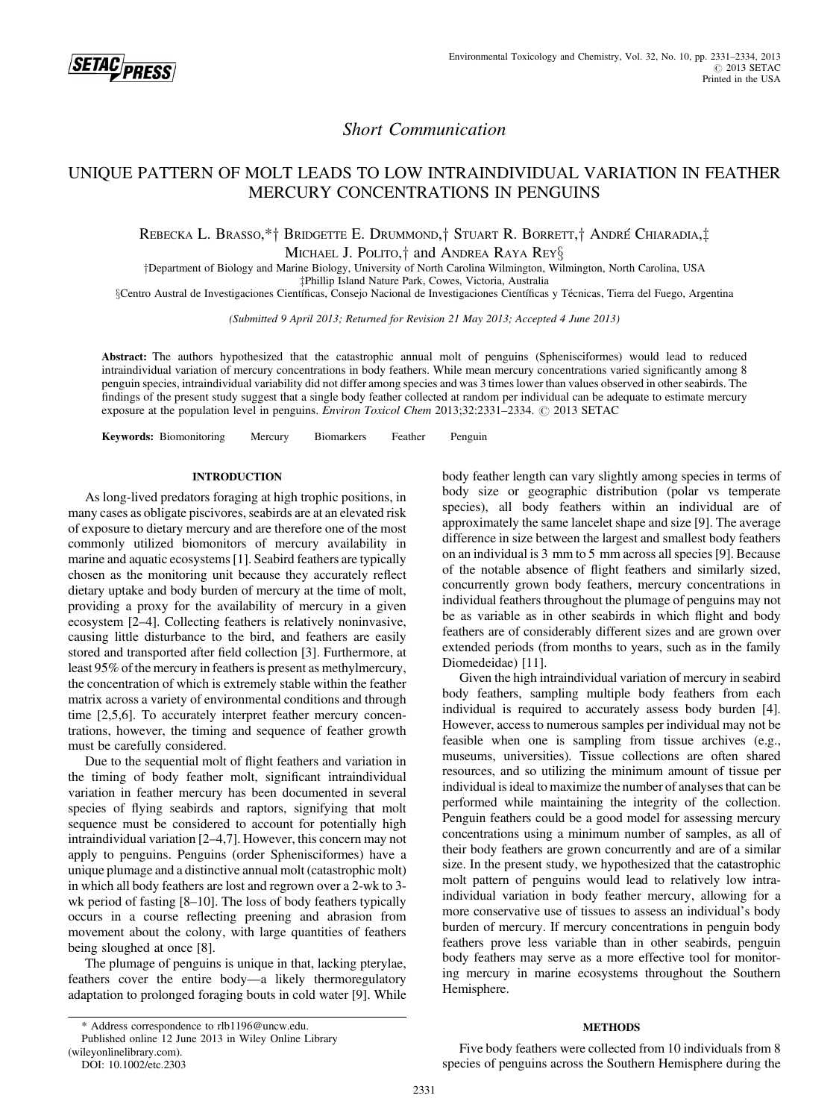

# Short Communication

# UNIQUE PATTERN OF MOLT LEADS TO LOW INTRAINDIVIDUAL VARIATION IN FEATHER MERCURY CONCENTRATIONS IN PENGUINS

## Rebecka L. Brasso,\*† Bridgette E. Drummond,† Stuart R. Borrett,† André Chiaradia,‡ MICHAEL J. POLITO,<sup>†</sup> and ANDREA RAYA REY<sup>§</sup>

yDepartment of Biology and Marine Biology, University of North Carolina Wilmington, Wilmington, North Carolina, USA zPhillip Island Nature Park, Cowes, Victoria, Australia

§Centro Austral de Investigaciones Científicas, Consejo Nacional de Investigaciones Científicas y Técnicas, Tierra del Fuego, Argentina

(Submitted 9 April 2013; Returned for Revision 21 May 2013; Accepted 4 June 2013)

Abstract: The authors hypothesized that the catastrophic annual molt of penguins (Sphenisciformes) would lead to reduced intraindividual variation of mercury concentrations in body feathers. While mean mercury concentrations varied significantly among 8 penguin species, intraindividual variability did not differ among species and was 3 times lower than values observed in other seabirds. The findings of the present study suggest that a single body feather collected at random per individual can be adequate to estimate mercury exposure at the population level in penguins. *Environ Toxicol Chem* 2013;32:2331–2334. © 2013 SETAC

Keywords: Biomonitoring Mercury Biomarkers Feather Penguin

## INTRODUCTION

As long-lived predators foraging at high trophic positions, in many cases as obligate piscivores, seabirds are at an elevated risk of exposure to dietary mercury and are therefore one of the most commonly utilized biomonitors of mercury availability in marine and aquatic ecosystems [1]. Seabird feathers are typically chosen as the monitoring unit because they accurately reflect dietary uptake and body burden of mercury at the time of molt, providing a proxy for the availability of mercury in a given ecosystem [2–4]. Collecting feathers is relatively noninvasive, causing little disturbance to the bird, and feathers are easily stored and transported after field collection [3]. Furthermore, at least 95% of the mercury in feathers is present as methylmercury, the concentration of which is extremely stable within the feather matrix across a variety of environmental conditions and through time [2,5,6]. To accurately interpret feather mercury concentrations, however, the timing and sequence of feather growth must be carefully considered.

Due to the sequential molt of flight feathers and variation in the timing of body feather molt, significant intraindividual variation in feather mercury has been documented in several species of flying seabirds and raptors, signifying that molt sequence must be considered to account for potentially high intraindividual variation [2–4,7]. However, this concern may not apply to penguins. Penguins (order Sphenisciformes) have a unique plumage and a distinctive annual molt (catastrophic molt) in which all body feathers are lost and regrown over a 2-wk to 3 wk period of fasting [8–10]. The loss of body feathers typically occurs in a course reflecting preening and abrasion from movement about the colony, with large quantities of feathers being sloughed at once [8].

The plumage of penguins is unique in that, lacking pterylae, feathers cover the entire body—a likely thermoregulatory adaptation to prolonged foraging bouts in cold water [9]. While body feather length can vary slightly among species in terms of body size or geographic distribution (polar vs temperate species), all body feathers within an individual are of approximately the same lancelet shape and size [9]. The average difference in size between the largest and smallest body feathers on an individual is 3 mm to 5 mm across all species [9]. Because of the notable absence of flight feathers and similarly sized, concurrently grown body feathers, mercury concentrations in individual feathers throughout the plumage of penguins may not be as variable as in other seabirds in which flight and body feathers are of considerably different sizes and are grown over extended periods (from months to years, such as in the family Diomedeidae) [11].

Given the high intraindividual variation of mercury in seabird body feathers, sampling multiple body feathers from each individual is required to accurately assess body burden [4]. However, access to numerous samples per individual may not be feasible when one is sampling from tissue archives (e.g., museums, universities). Tissue collections are often shared resources, and so utilizing the minimum amount of tissue per individual is ideal to maximize the number of analyses that can be performed while maintaining the integrity of the collection. Penguin feathers could be a good model for assessing mercury concentrations using a minimum number of samples, as all of their body feathers are grown concurrently and are of a similar size. In the present study, we hypothesized that the catastrophic molt pattern of penguins would lead to relatively low intraindividual variation in body feather mercury, allowing for a more conservative use of tissues to assess an individual's body burden of mercury. If mercury concentrations in penguin body feathers prove less variable than in other seabirds, penguin body feathers may serve as a more effective tool for monitoring mercury in marine ecosystems throughout the Southern Hemisphere.

## **METHODS**

Five body feathers were collected from 10 individuals from 8 species of penguins across the Southern Hemisphere during the

<sup>\*</sup> Address correspondence to rlb1196@uncw.edu.

Published online 12 June 2013 in Wiley Online Library

<sup>(</sup>wileyonlinelibrary.com).

DOI: 10.1002/etc.2303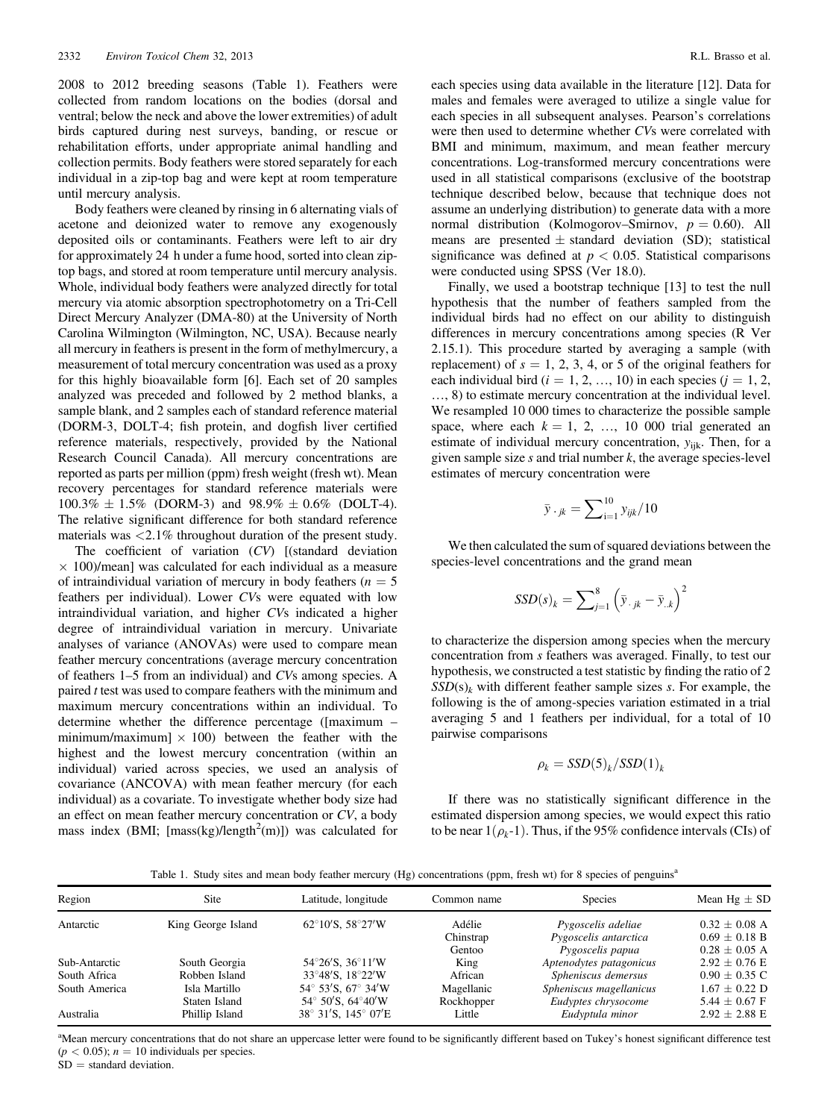2008 to 2012 breeding seasons (Table 1). Feathers were collected from random locations on the bodies (dorsal and ventral; below the neck and above the lower extremities) of adult birds captured during nest surveys, banding, or rescue or rehabilitation efforts, under appropriate animal handling and collection permits. Body feathers were stored separately for each individual in a zip-top bag and were kept at room temperature until mercury analysis.

Body feathers were cleaned by rinsing in 6 alternating vials of acetone and deionized water to remove any exogenously deposited oils or contaminants. Feathers were left to air dry for approximately 24 h under a fume hood, sorted into clean ziptop bags, and stored at room temperature until mercury analysis. Whole, individual body feathers were analyzed directly for total mercury via atomic absorption spectrophotometry on a Tri-Cell Direct Mercury Analyzer (DMA-80) at the University of North Carolina Wilmington (Wilmington, NC, USA). Because nearly all mercury in feathers is present in the form of methylmercury, a measurement of total mercury concentration was used as a proxy for this highly bioavailable form [6]. Each set of 20 samples analyzed was preceded and followed by 2 method blanks, a sample blank, and 2 samples each of standard reference material (DORM-3, DOLT-4; fish protein, and dogfish liver certified reference materials, respectively, provided by the National Research Council Canada). All mercury concentrations are reported as parts per million (ppm) fresh weight (fresh wt). Mean recovery percentages for standard reference materials were  $100.3\% \pm 1.5\%$  (DORM-3) and  $98.9\% \pm 0.6\%$  (DOLT-4). The relative significant difference for both standard reference materials was <2.1% throughout duration of the present study.

The coefficient of variation (CV) [(standard deviation  $\times$  100)/mean] was calculated for each individual as a measure of intraindividual variation of mercury in body feathers ( $n = 5$ ) feathers per individual). Lower CVs were equated with low intraindividual variation, and higher CVs indicated a higher degree of intraindividual variation in mercury. Univariate analyses of variance (ANOVAs) were used to compare mean feather mercury concentrations (average mercury concentration of feathers 1–5 from an individual) and CVs among species. A paired t test was used to compare feathers with the minimum and maximum mercury concentrations within an individual. To determine whether the difference percentage ([maximum – minimum/maximum]  $\times$  100) between the feather with the highest and the lowest mercury concentration (within an individual) varied across species, we used an analysis of covariance (ANCOVA) with mean feather mercury (for each individual) as a covariate. To investigate whether body size had an effect on mean feather mercury concentration or CV, a body mass index (BMI; [mass(kg)/length<sup>2</sup>(m)]) was calculated for

each species using data available in the literature [12]. Data for males and females were averaged to utilize a single value for each species in all subsequent analyses. Pearson's correlations were then used to determine whether CVs were correlated with BMI and minimum, maximum, and mean feather mercury concentrations. Log-transformed mercury concentrations were used in all statistical comparisons (exclusive of the bootstrap technique described below, because that technique does not assume an underlying distribution) to generate data with a more normal distribution (Kolmogorov–Smirnov,  $p = 0.60$ ). All means are presented  $\pm$  standard deviation (SD); statistical significance was defined at  $p < 0.05$ . Statistical comparisons were conducted using SPSS (Ver 18.0).

Finally, we used a bootstrap technique [13] to test the null hypothesis that the number of feathers sampled from the individual birds had no effect on our ability to distinguish differences in mercury concentrations among species (R Ver 2.15.1). This procedure started by averaging a sample (with replacement) of  $s = 1, 2, 3, 4$ , or 5 of the original feathers for each individual bird ( $i = 1, 2, ..., 10$ ) in each species ( $j = 1, 2, ...$ ) …, 8) to estimate mercury concentration at the individual level. We resampled 10 000 times to characterize the possible sample space, where each  $k = 1, 2, ..., 10, 000$  trial generated an estimate of individual mercury concentration,  $y_{iik}$ . Then, for a given sample size  $s$  and trial number  $k$ , the average species-level estimates of mercury concentration were

$$
\bar{y}_{\cdot j k} = \sum_{i=1}^{10} y_{ijk} / 10
$$

We then calculated the sum of squared deviations between the species-level concentrations and the grand mean

$$
SSD(s)_k = \sum_{j=1}^8 (\bar{y}_{\cdot jk} - \bar{y}_{\cdot k})^2
$$

to characterize the dispersion among species when the mercury concentration from s feathers was averaged. Finally, to test our hypothesis, we constructed a test statistic by finding the ratio of 2  $SSD(s)$ <sub>k</sub> with different feather sample sizes s. For example, the following is the of among-species variation estimated in a trial averaging 5 and 1 feathers per individual, for a total of 10 pairwise comparisons

$$
\rho_k = SSD(5)_k/SSD(1)_k
$$

If there was no statistically significant difference in the estimated dispersion among species, we would expect this ratio to be near  $1(\rho_k - 1)$ . Thus, if the 95% confidence intervals (CIs) of

Table 1. Study sites and mean body feather mercury (Hg) concentrations (ppm, fresh wt) for 8 species of penguins<sup>a</sup>

| Region        | Site               | Latitude, longitude                                  | Common name | <b>Species</b>          | Mean $Hg \pm SD$  |
|---------------|--------------------|------------------------------------------------------|-------------|-------------------------|-------------------|
| Antarctic     | King George Island | $62^{\circ}10^{\prime}$ S. 58°27 $^{\prime}$ W       | Adélie      | Pygoscelis adeliae      | $0.32 \pm 0.08$ A |
|               |                    |                                                      | Chinstrap   | Pygoscelis antarctica   | $0.69 \pm 0.18$ B |
|               |                    |                                                      | Gentoo      | Pygoscelis papua        | $0.28 \pm 0.05$ A |
| Sub-Antarctic | South Georgia      | 54°26′S, 36°11′W                                     | King        | Aptenodytes patagonicus | $2.92 \pm 0.76$ E |
| South Africa  | Robben Island      | $33^{\circ}48^{\prime}$ S. $18^{\circ}22^{\prime}$ W | African     | Spheniscus demersus     | $0.90 \pm 0.35$ C |
| South America | Isla Martillo      | $54^{\circ}$ 53'S, 67 $^{\circ}$ 34'W                | Magellanic  | Spheniscus magellanicus | $1.67 \pm 0.22$ D |
|               | Staten Island      | $54^{\circ}$ 50'S, 64 $^{\circ}$ 40'W                | Rockhopper  | Eudyptes chrysocome     | 5.44 $\pm$ 0.67 F |
| Australia     | Phillip Island     | 38° 31'S, 145° 07'E                                  | Little      | Eudyptula minor         | $2.92 \pm 2.88$ E |

<sup>a</sup>Mean mercury concentrations that do not share an uppercase letter were found to be significantly different based on Tukey's honest significant difference test  $(p < 0.05)$ ;  $n = 10$  individuals per species.

 $SD = standard deviation$ .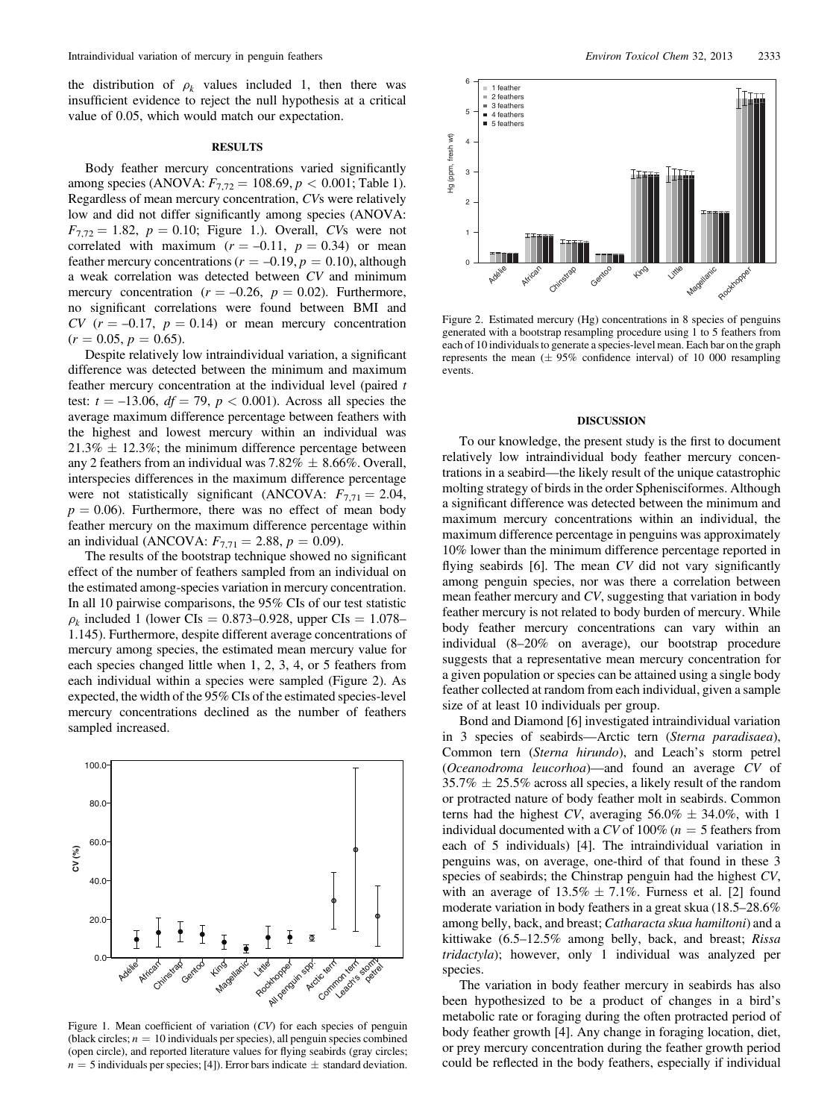the distribution of  $\rho_k$  values included 1, then there was insufficient evidence to reject the null hypothesis at a critical value of 0.05, which would match our expectation.

## **RESULTS**

Body feather mercury concentrations varied significantly among species (ANOVA:  $F_{7,72} = 108.69, p < 0.001$ ; Table 1). Regardless of mean mercury concentration, CVs were relatively low and did not differ significantly among species (ANOVA:  $F_{7,72} = 1.82, p = 0.10;$  Figure 1.). Overall, CVs were not correlated with maximum  $(r = -0.11, p = 0.34)$  or mean feather mercury concentrations ( $r = -0.19$ ,  $p = 0.10$ ), although a weak correlation was detected between CV and minimum mercury concentration ( $r = -0.26$ ,  $p = 0.02$ ). Furthermore, no significant correlations were found between BMI and CV  $(r = -0.17, p = 0.14)$  or mean mercury concentration  $(r = 0.05, p = 0.65).$ 

Despite relatively low intraindividual variation, a significant difference was detected between the minimum and maximum feather mercury concentration at the individual level (paired t test:  $t = -13.06$ ,  $df = 79$ ,  $p < 0.001$ ). Across all species the average maximum difference percentage between feathers with the highest and lowest mercury within an individual was  $21.3\% \pm 12.3\%$ ; the minimum difference percentage between any 2 feathers from an individual was  $7.82\% \pm 8.66\%$ . Overall, interspecies differences in the maximum difference percentage were not statistically significant (ANCOVA:  $F_{7,71} = 2.04$ ,  $p = 0.06$ ). Furthermore, there was no effect of mean body feather mercury on the maximum difference percentage within an individual (ANCOVA:  $F_{7,71} = 2.88, p = 0.09$ ).

The results of the bootstrap technique showed no significant effect of the number of feathers sampled from an individual on the estimated among-species variation in mercury concentration. In all 10 pairwise comparisons, the 95% CIs of our test statistic  $\rho_k$  included 1 (lower CIs = 0.873–0.928, upper CIs = 1.078– 1.145). Furthermore, despite different average concentrations of mercury among species, the estimated mean mercury value for each species changed little when 1, 2, 3, 4, or 5 feathers from each individual within a species were sampled (Figure 2). As expected, the width of the 95% CIs of the estimated species-level mercury concentrations declined as the number of feathers sampled increased.



Figure 1. Mean coefficient of variation (CV) for each species of penguin (black circles;  $n = 10$  individuals per species), all penguin species combined (open circle), and reported literature values for flying seabirds (gray circles;  $n = 5$  individuals per species; [4]). Error bars indicate  $\pm$  standard deviation.



Figure 2. Estimated mercury (Hg) concentrations in 8 species of penguins generated with a bootstrap resampling procedure using 1 to 5 feathers from each of 10 individuals to generate a species-level mean. Each bar on the graph represents the mean  $(\pm 95\%$  confidence interval) of 10 000 resampling events.

### DISCUSSION

To our knowledge, the present study is the first to document relatively low intraindividual body feather mercury concentrations in a seabird—the likely result of the unique catastrophic molting strategy of birds in the order Sphenisciformes. Although a significant difference was detected between the minimum and maximum mercury concentrations within an individual, the maximum difference percentage in penguins was approximately 10% lower than the minimum difference percentage reported in flying seabirds [6]. The mean CV did not vary significantly among penguin species, nor was there a correlation between mean feather mercury and CV, suggesting that variation in body feather mercury is not related to body burden of mercury. While body feather mercury concentrations can vary within an individual (8–20% on average), our bootstrap procedure suggests that a representative mean mercury concentration for a given population or species can be attained using a single body feather collected at random from each individual, given a sample size of at least 10 individuals per group.

Bond and Diamond [6] investigated intraindividual variation in 3 species of seabirds—Arctic tern (Sterna paradisaea), Common tern (Sterna hirundo), and Leach's storm petrel (Oceanodroma leucorhoa)—and found an average CV of  $35.7\% \pm 25.5\%$  across all species, a likely result of the random or protracted nature of body feather molt in seabirds. Common terns had the highest CV, averaging  $56.0\% \pm 34.0\%$ , with 1 individual documented with a CV of 100% ( $n = 5$  feathers from each of 5 individuals) [4]. The intraindividual variation in penguins was, on average, one-third of that found in these 3 species of seabirds; the Chinstrap penguin had the highest CV, with an average of  $13.5\% \pm 7.1\%$ . Furness et al. [2] found moderate variation in body feathers in a great skua (18.5–28.6% among belly, back, and breast; Catharacta skua hamiltoni) and a kittiwake (6.5–12.5% among belly, back, and breast; Rissa tridactyla); however, only 1 individual was analyzed per species.

The variation in body feather mercury in seabirds has also been hypothesized to be a product of changes in a bird's metabolic rate or foraging during the often protracted period of body feather growth [4]. Any change in foraging location, diet, or prey mercury concentration during the feather growth period could be reflected in the body feathers, especially if individual